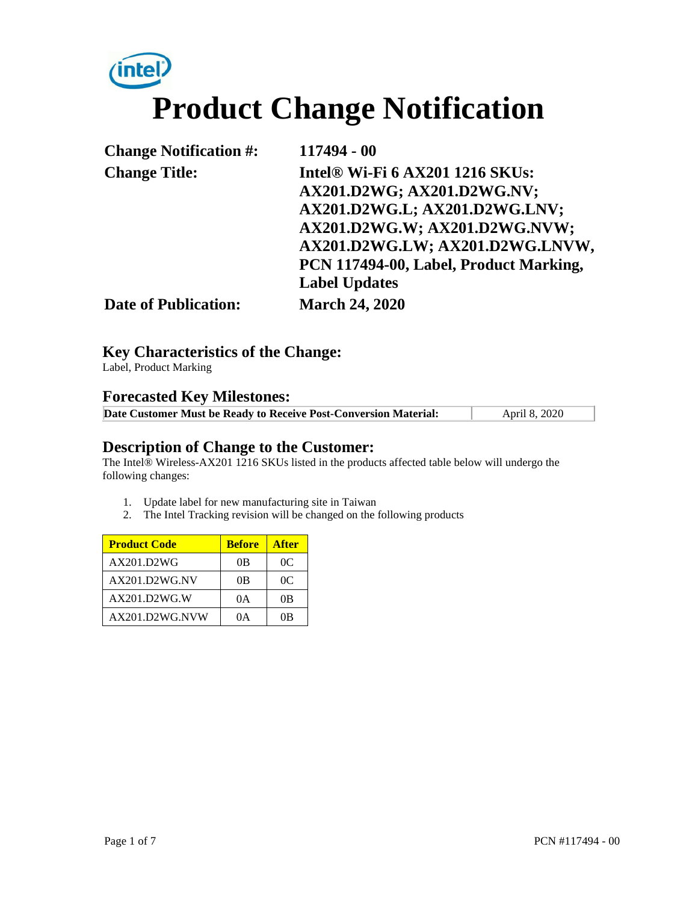# (intel) **Product Change Notification**

| <b>Change Notification #:</b> | 117494 - 00                            |
|-------------------------------|----------------------------------------|
| <b>Change Title:</b>          | <b>Intel® Wi-Fi 6 AX201 1216 SKUs:</b> |
|                               | AX201.D2WG; AX201.D2WG.NV;             |
|                               | AX201.D2WG.L; AX201.D2WG.LNV;          |
|                               | AX201.D2WG.W; AX201.D2WG.NVW;          |
|                               | AX201.D2WG.LW; AX201.D2WG.LNVW,        |
|                               | PCN 117494-00, Label, Product Marking, |
|                               | <b>Label Updates</b>                   |
| <b>Date of Publication:</b>   | <b>March 24, 2020</b>                  |

### **Key Characteristics of the Change:**

Label, Product Marking

# **Forecasted Key Milestones:**

| Date Customer Must be Ready to Receive Post-Conversion Material: | April 8, 2020 |
|------------------------------------------------------------------|---------------|

#### **Description of Change to the Customer:**

The Intel® Wireless-AX201 1216 SKUs listed in the products affected table below will undergo the following changes:

- 1. Update label for new manufacturing site in Taiwan
- 2. The Intel Tracking revision will be changed on the following products

| <b>Product Code</b> | <b>Before</b> | <b>After</b> |
|---------------------|---------------|--------------|
| AX201.D2WG          | 0B            | 0C           |
| AX201.D2WG.NV       | 0B            | 0C           |
| AX201.D2WG.W        | 0A            | 0B           |
| AX201.D2WG.NVW      | ΩA            | 0B           |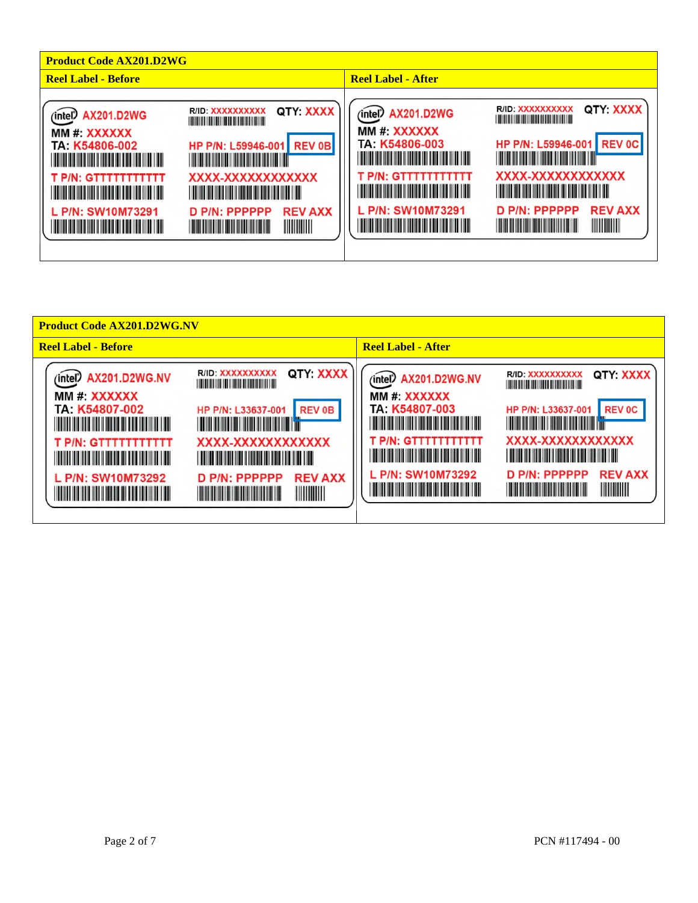| <b>Product Code AX201.D2WG</b>                                                                                                                                                                                                                                                                                                                                                                                                                                                                                                                                                                                        |                                                                                                                                                                                                                                                                                                                                                                                                                                                                                                                                                                                                                                                                                                                                                                                                    |  |  |
|-----------------------------------------------------------------------------------------------------------------------------------------------------------------------------------------------------------------------------------------------------------------------------------------------------------------------------------------------------------------------------------------------------------------------------------------------------------------------------------------------------------------------------------------------------------------------------------------------------------------------|----------------------------------------------------------------------------------------------------------------------------------------------------------------------------------------------------------------------------------------------------------------------------------------------------------------------------------------------------------------------------------------------------------------------------------------------------------------------------------------------------------------------------------------------------------------------------------------------------------------------------------------------------------------------------------------------------------------------------------------------------------------------------------------------------|--|--|
| <b>Reel Label - Before</b>                                                                                                                                                                                                                                                                                                                                                                                                                                                                                                                                                                                            | <b>Reel Label - After</b>                                                                                                                                                                                                                                                                                                                                                                                                                                                                                                                                                                                                                                                                                                                                                                          |  |  |
| QTY: XXXX<br>R/ID XXXXXXXXXX<br>(intel) AX201.D2WG<br><u> 1999 - Johann Maria Maria Maria Maria Maria Maria Maria Maria Maria Maria Maria Maria Maria Maria Maria Mari</u><br>MM #: XXXXXX<br><b>REV 0B</b><br>HP P/N: L59946-001<br>TA: K54806-002<br><u> Tanzania (h. 1888).</u><br><u> Tanzania de la provincia de la provincia de la provincia de la provincia de la provincia de la provincia de</u><br>XXXX-XXXXXXXXXXXX<br>T P/N: GTTTTTTTTTTT<br><u> Tanzania (h. 1888).</u><br>L P/N: SW10M73291<br><b>REV AXX</b><br>D P/N: PPPPPP<br>IIIIIIIIII<br><b>The Communication</b><br><u> Tanzania (h. 1888).</u> | QTY: XXXX<br>R/ID: XXXXXXXXXX<br>(intel) AX201.D2WG<br><u> I de la provincia de la provincia de la provincia de la provincia de la provincia de la provincia de la provi</u><br>MM #: XXXXXX<br><b>REV 0C</b><br>HP P/N: L59946-001<br>TA: K54806-003<br><u> 1999 - Johann Maria Maria Maria Maria Maria Maria Maria Maria Maria Maria Maria Maria Maria Maria Maria Mari</u><br><u> Tanzania (h. 1888).</u><br>XXXX-XXXXXXXXXXXX<br><b>T P/N: GTTTTTTTTTTT</b><br><u> 1999 - Johann Maria Maria Maria Maria Maria Maria Maria Maria Maria Maria Maria Maria Maria Maria Maria Mari</u><br><u> 1989 - Andrew Maria Barat (</u><br>L P/N: SW10M73291<br><b>REV AXX</b><br>D P/N: PPPPPP<br><u> 1999 - John Michael Berger, Amerikaansk politiker (</u><br><u> Timba ka ka shekara ta 1999 na ma</u> |  |  |

| <b>Product Code AX201.D2WG.NV</b>                                                                                                                                                                                                                                                                                                                                                                                                                                                                                                                                                                                                                                                                                                                                                                                                                                                                                 |                                                                                                                                                                                                                                                                                                                                                                                                                                                                                                                                                                                                                                                                                                                                                                                                      |
|-------------------------------------------------------------------------------------------------------------------------------------------------------------------------------------------------------------------------------------------------------------------------------------------------------------------------------------------------------------------------------------------------------------------------------------------------------------------------------------------------------------------------------------------------------------------------------------------------------------------------------------------------------------------------------------------------------------------------------------------------------------------------------------------------------------------------------------------------------------------------------------------------------------------|------------------------------------------------------------------------------------------------------------------------------------------------------------------------------------------------------------------------------------------------------------------------------------------------------------------------------------------------------------------------------------------------------------------------------------------------------------------------------------------------------------------------------------------------------------------------------------------------------------------------------------------------------------------------------------------------------------------------------------------------------------------------------------------------------|
| <b>Reel Label - Before</b>                                                                                                                                                                                                                                                                                                                                                                                                                                                                                                                                                                                                                                                                                                                                                                                                                                                                                        | <b>Reel Label - After</b>                                                                                                                                                                                                                                                                                                                                                                                                                                                                                                                                                                                                                                                                                                                                                                            |
| QTY: XXXX<br>R/ID: XXXXXXXXXX<br><b>AX201.D2WG.NV</b><br>(intel)<br>MM #: XXXXXX<br>TA: K54807-002<br><b>REV 0B</b><br>HP P/N: L33637-001<br><u> Timber alan sahiji désa di kacamatan Sisa Barat Barat Barat Barat Barat Barat Barat Barat Barat Barat Barat Ba</u><br><u> Harry Harry Harry Harry Harry Harry Harry Harry Harry Harry Harry Harry Harry Harry Harry Harry Harry Harry H</u><br>XXXX-XXXXXXXXXXXX<br><b>T P/N: GTTTTTTTTTTT</b><br><u> Tanzania (h. 1888).</u><br><u> Harry Harry Harry Harry Harry Harry Harry Harry Harry Harry Harry Harry Harry Harry Harry Harry Harry Harry H</u><br><b>REV AXX</b><br>L P/N: SW10M73292<br>D P/N: PPPPPP<br><u> Harry Harry Harry Harry Harry Harry Harry Harry Harry Harry Harry Harry Harry Harry Harry Harry Harry Harry H</u><br><u> HII DI HII DI HII DI HII DI HII DI HII DI HII DI HII DI HII DI HII DI HII DI HII DI HII DI HII DI HII DI HII </u> | QTY: XXXX<br>R/ID: XXXXXXXXXX<br>(intel) AX201.D2WG.NV<br>MM #: XXXXXX<br>TA: K54807-003<br><b>REV 0C</b><br>HP P/N: L33637-001<br><u> Harry Harry Harry Harry Harry Harry Harry Harry Harry Harry Harry Harry Harry Harry Harry Harry Harry Harry Harry Harry Harry Harry Harry Harry Harry Harry Harry Harry Harry Harry Harry Harry Harry Harry Harry Harry Harr</u><br><u> Tanzania (h. 1888).</u><br>XXXX-XXXXXXXXXXXX<br>T P/N: GTTTTTTTTTTT<br><u> 1989 - Andrew Maria Maria Maria Maria Maria Maria Maria Maria Maria Maria Maria Maria Maria Maria Maria Mari</u><br><b>REV AXX</b><br>L P/N: SW10M73292<br>D P/N: PPPPPP<br><u> Harry Harry Harry Harry Harry Harry Harry Harry Harry Harry Harry Harry Harry Harry Harry Harry Harry Harry H</u><br><b>The Community of the Community</b> |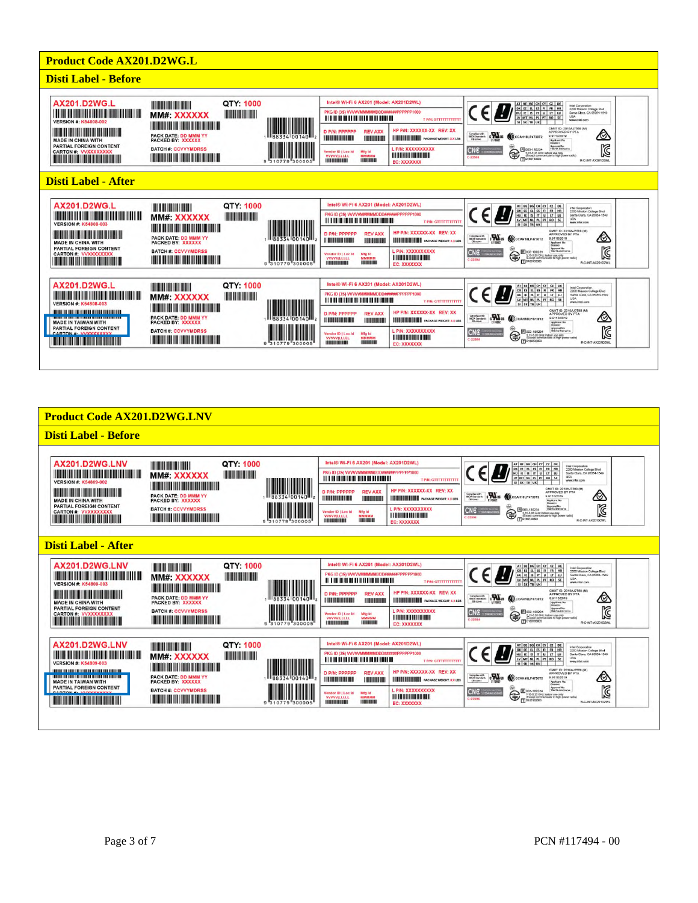

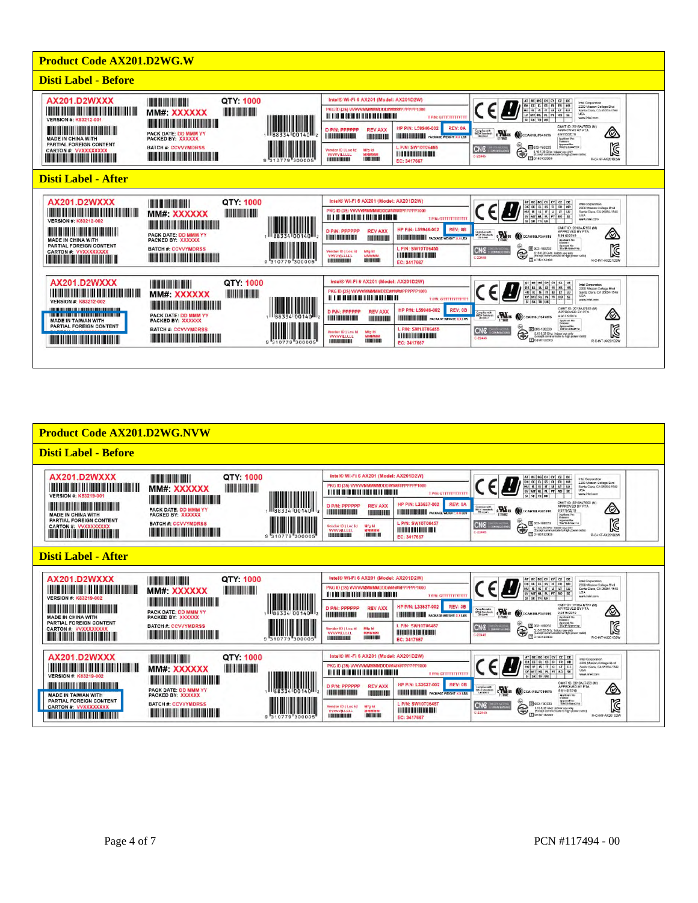

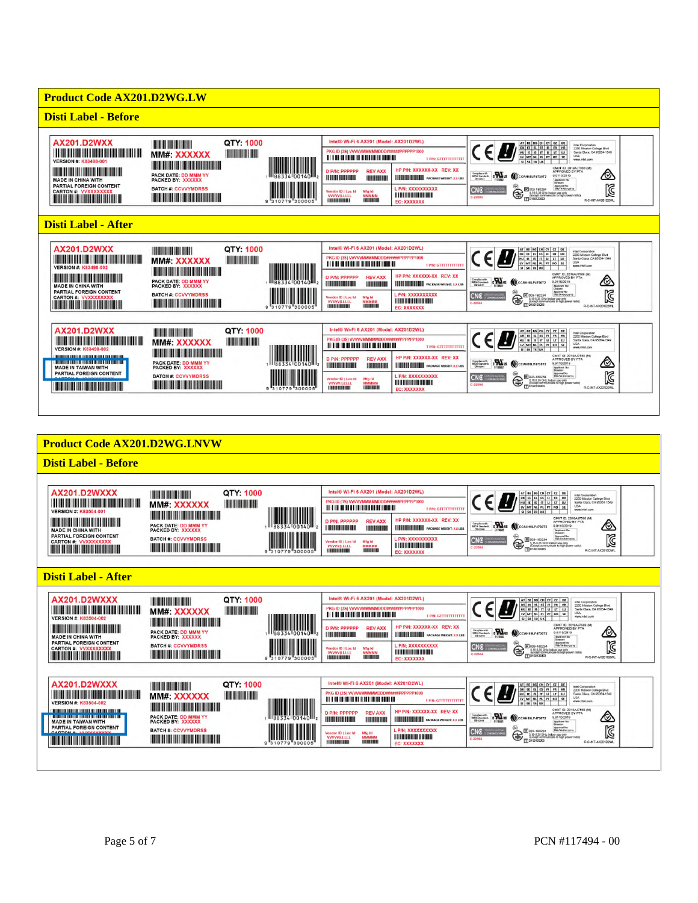

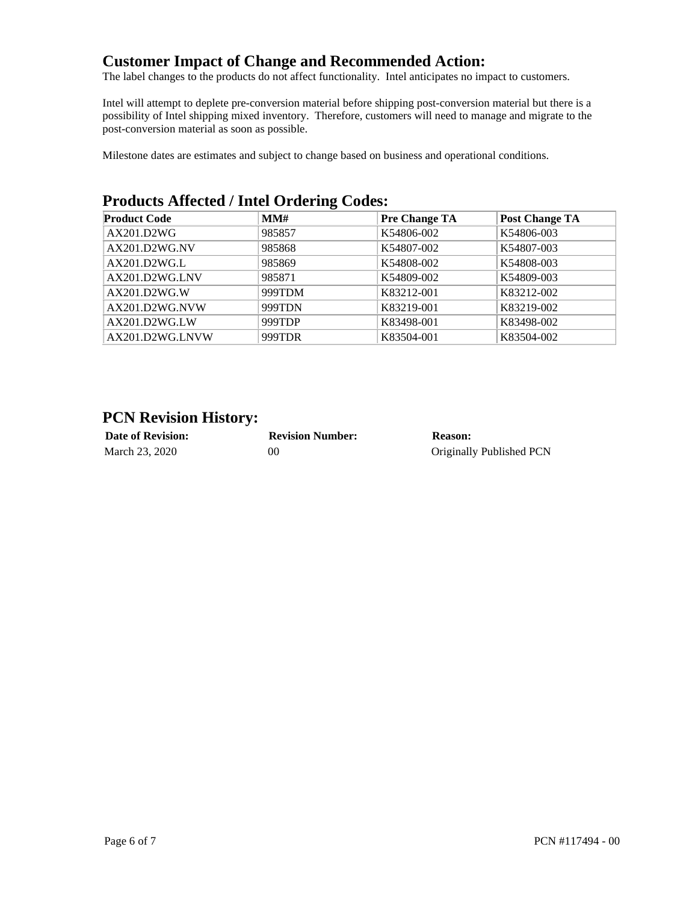# **Customer Impact of Change and Recommended Action:**

The label changes to the products do not affect functionality. Intel anticipates no impact to customers.

Intel will attempt to deplete pre-conversion material before shipping post-conversion material but there is a possibility of Intel shipping mixed inventory. Therefore, customers will need to manage and migrate to the post-conversion material as soon as possible.

Milestone dates are estimates and subject to change based on business and operational conditions.

## **Products Affected / Intel Ordering Codes:**

| <b>Product Code</b> | MMH    | <b>Pre Change TA</b> | <b>Post Change TA</b> |
|---------------------|--------|----------------------|-----------------------|
| AX201.D2WG          | 985857 | K54806-002           | K54806-003            |
| AX201.D2WG.NV       | 985868 | K54807-002           | K54807-003            |
| AX201.D2WGL         | 985869 | K54808-002           | K54808-003            |
| AX201.D2WG.LNV      | 985871 | K54809-002           | K54809-003            |
| AX201.D2WG.W        | 999TDM | K83212-001           | K83212-002            |
| AX201.D2WG.NVW      | 999TDN | K83219-001           | K83219-002            |
| AX201.D2WG.LW       | 999TDP | K83498-001           | K83498-002            |
| AX201.D2WG.LNVW     | 999TDR | K83504-001           | K83504-002            |

## **PCN Revision History:**

| <b>Date of Revision:</b> | <b>Revision Number:</b> | Reason:                  |
|--------------------------|-------------------------|--------------------------|
| March 23, 2020           | 00                      | Originally Published PCN |